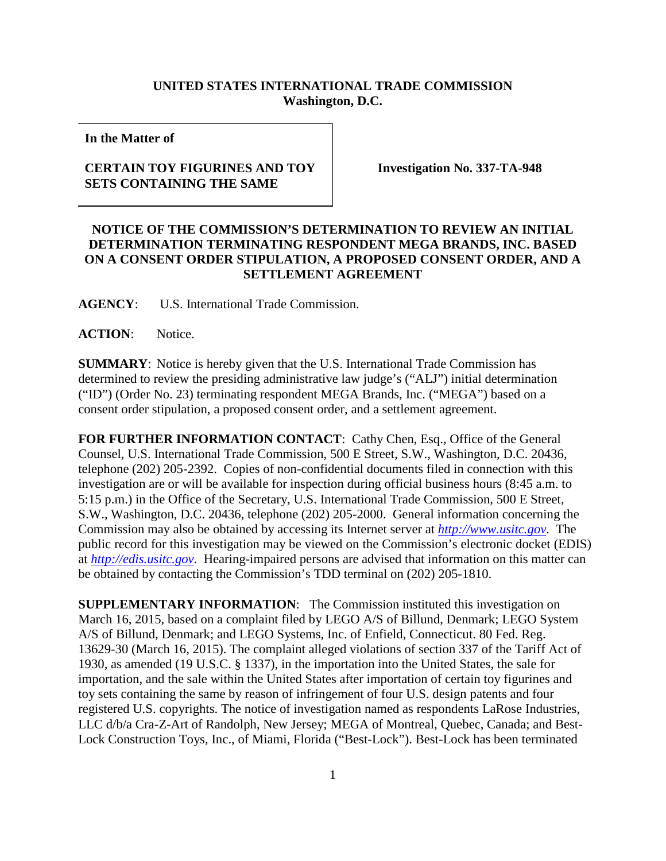## **UNITED STATES INTERNATIONAL TRADE COMMISSION Washington, D.C.**

**In the Matter of**

## **CERTAIN TOY FIGURINES AND TOY SETS CONTAINING THE SAME**

**Investigation No. 337-TA-948**

## **NOTICE OF THE COMMISSION'S DETERMINATION TO REVIEW AN INITIAL DETERMINATION TERMINATING RESPONDENT MEGA BRANDS, INC. BASED ON A CONSENT ORDER STIPULATION, A PROPOSED CONSENT ORDER, AND A SETTLEMENT AGREEMENT**

**AGENCY**: U.S. International Trade Commission.

**ACTION**: Notice.

**SUMMARY**: Notice is hereby given that the U.S. International Trade Commission has determined to review the presiding administrative law judge's ("ALJ") initial determination ("ID") (Order No. 23) terminating respondent MEGA Brands, Inc. ("MEGA") based on a consent order stipulation, a proposed consent order, and a settlement agreement.

FOR FURTHER INFORMATION CONTACT: Cathy Chen, Esq., Office of the General Counsel, U.S. International Trade Commission, 500 E Street, S.W., Washington, D.C. 20436, telephone (202) 205-2392. Copies of non-confidential documents filed in connection with this investigation are or will be available for inspection during official business hours (8:45 a.m. to 5:15 p.m.) in the Office of the Secretary, U.S. International Trade Commission, 500 E Street, S.W., Washington, D.C. 20436, telephone (202) 205-2000. General information concerning the Commission may also be obtained by accessing its Internet server at *[http://www.usitc.gov](http://www.usitc.gov/)*. The public record for this investigation may be viewed on the Commission's electronic docket (EDIS) at *[http://edis.usitc.gov](http://edis.usitc.gov/)*. Hearing-impaired persons are advised that information on this matter can be obtained by contacting the Commission's TDD terminal on (202) 205-1810.

**SUPPLEMENTARY INFORMATION**: The Commission instituted this investigation on March 16, 2015, based on a complaint filed by LEGO A/S of Billund, Denmark; LEGO System A/S of Billund, Denmark; and LEGO Systems, Inc. of Enfield, Connecticut. 80 Fed. Reg. 13629-30 (March 16, 2015). The complaint alleged violations of section 337 of the Tariff Act of 1930, as amended (19 U.S.C. § 1337), in the importation into the United States, the sale for importation, and the sale within the United States after importation of certain toy figurines and toy sets containing the same by reason of infringement of four U.S. design patents and four registered U.S. copyrights. The notice of investigation named as respondents LaRose Industries, LLC d/b/a Cra-Z-Art of Randolph, New Jersey; MEGA of Montreal, Quebec, Canada; and Best-Lock Construction Toys, Inc., of Miami, Florida ("Best-Lock"). Best-Lock has been terminated